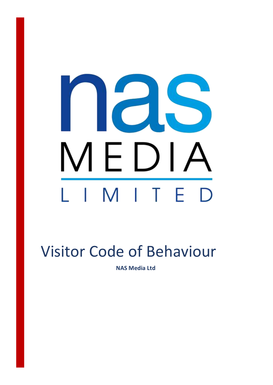# ICIS MEDIA IMITE  $\mathbb{R}$ D

## Visitor Code of Behaviour

**NAS Media Ltd**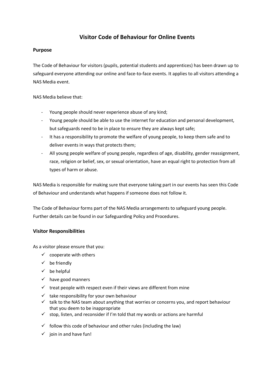### **Visitor Code of Behaviour for Online Events**

#### **Purpose**

The Code of Behaviour for visitors (pupils, potential students and apprentices) has been drawn up to safeguard everyone attending our online and face-to-face events. It applies to all visitors attending a NAS Media event.

NAS Media believe that:

- Young people should never experience abuse of any kind;
- Young people should be able to use the internet for education and personal development, but safeguards need to be in place to ensure they are always kept safe;
- It has a responsibility to promote the welfare of young people, to keep them safe and to deliver events in ways that protects them;
- All young people welfare of young people, regardless of age, disability, gender reassignment, race, religion or belief, sex, or sexual orientation, have an equal right to protection from all types of harm or abuse.

NAS Media is responsible for making sure that everyone taking part in our events has seen this Code of Behaviour and understands what happens if someone does not follow it.

The Code of Behaviour forms part of the NAS Media arrangements to safeguard young people. Further details can be found in our Safeguarding Policy and Procedures.

#### **Visitor Responsibilities**

As a visitor please ensure that you:

- $\checkmark$  cooperate with others
- $\checkmark$  be friendly
- $\checkmark$  be helpful
- $\checkmark$  have good manners
- $\checkmark$  treat people with respect even if their views are different from mine
- $\checkmark$  take responsibility for your own behaviour
- $\checkmark$  talk to the NAS team about anything that worries or concerns you, and report behaviour that you deem to be inappropriate
- $\checkmark$  stop, listen, and reconsider if I'm told that my words or actions are harmful
- $\checkmark$  follow this code of behaviour and other rules (including the law)
- $\checkmark$  join in and have fun!